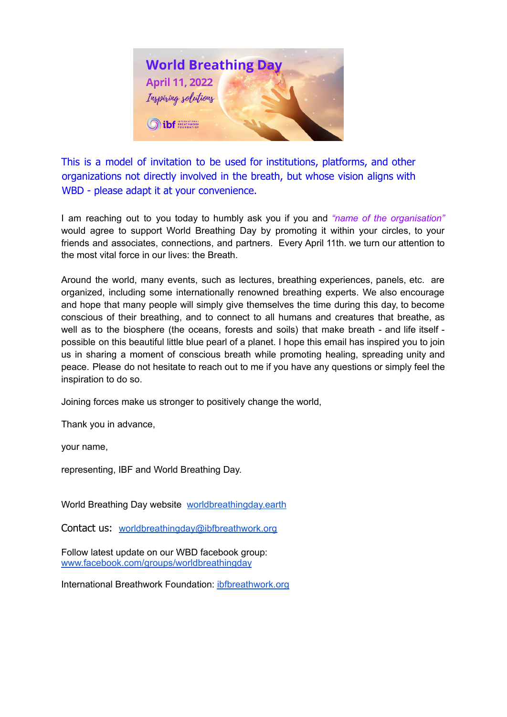

This is a model of invitation to be used for institutions, platforms, and other organizations not directly involved in the breath, but whose vision aligns with WBD - please adapt it at your convenience.

I am reaching out to you today to humbly ask you if you and *"name of the organisation"* would agree to support World Breathing Day by promoting it within your circles, to your friends and associates, connections, and partners. Every April 11th. we turn our attention to the most vital force in our lives: the Breath.

Around the world, many events, such as lectures, breathing experiences, panels, etc. are organized, including some internationally renowned breathing experts. We also encourage and hope that many people will simply give themselves the time during this day, to become conscious of their breathing, and to connect to all humans and creatures that breathe, as well as to the biosphere (the oceans, forests and soils) that make breath - and life itself possible on this beautiful little blue pearl of a planet. I hope this email has inspired you to join us in sharing a moment of conscious breath while promoting healing, spreading unity and peace. Please do not hesitate to reach out to me if you have any questions or simply feel the inspiration to do so.

Joining forces make us stronger to positively change the world,

Thank you in advance,

your name,

representing, IBF and World Breathing Day.

World Breathing Day website [worldbreathingday.earth](https://worldbreathingday.earth/)

Contact us: [worldbreathingday@ibfbreathwork.org](mailto:worldbreathingday@ibfbreathwork.org)

Follow latest update on our WBD facebook group: [www.facebook.com/groups/worldbreathingday](http://www.facebook.com/groups/worldbreathingday)

International Breathwork Foundation: [ibfbreathwork.org](https://ibfbreathwork.org/)